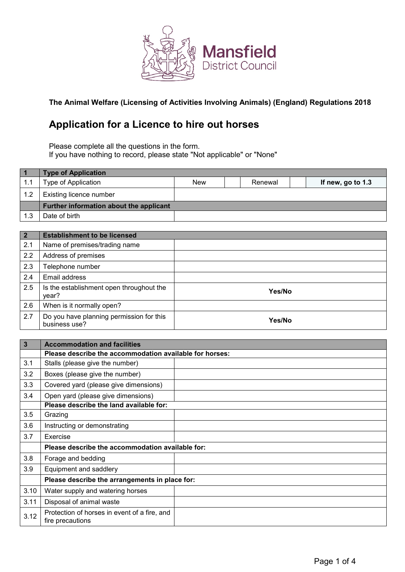

# **The Animal Welfare (Licensing of Activities Involving Animals) (England) Regulations 2018**

# **Application for a Licence to hire out horses**

Please complete all the questions in the form. If you have nothing to record, please state "Not applicable" or "None"

|     | <b>Type of Application</b>              |            |         |                   |
|-----|-----------------------------------------|------------|---------|-------------------|
| 1.1 | Type of Application                     | <b>New</b> | Renewal | If new, go to 1.3 |
| 1.2 | Existing licence number                 |            |         |                   |
|     | Further information about the applicant |            |         |                   |
| 1.3 | Date of birth                           |            |         |                   |

| $\overline{2}$ | <b>Establishment to be licensed</b>                       |        |
|----------------|-----------------------------------------------------------|--------|
| 2.1            | Name of premises/trading name                             |        |
| 2.2            | Address of premises                                       |        |
| 2.3            | Telephone number                                          |        |
| 2.4            | Email address                                             |        |
| 2.5            | Is the establishment open throughout the<br>year?         | Yes/No |
| 2.6            | When is it normally open?                                 |        |
| 2.7            | Do you have planning permission for this<br>business use? | Yes/No |

| $\overline{3}$ | <b>Accommodation and facilities</b>                              |  |
|----------------|------------------------------------------------------------------|--|
|                | Please describe the accommodation available for horses:          |  |
| 3.1            | Stalls (please give the number)                                  |  |
| 3.2            | Boxes (please give the number)                                   |  |
| 3.3            | Covered yard (please give dimensions)                            |  |
| 3.4            | Open yard (please give dimensions)                               |  |
|                | Please describe the land available for:                          |  |
| 3.5            | Grazing                                                          |  |
| 3.6            | Instructing or demonstrating                                     |  |
| 3.7            | Exercise                                                         |  |
|                | Please describe the accommodation available for:                 |  |
| 3.8            | Forage and bedding                                               |  |
| 3.9            | Equipment and saddlery                                           |  |
|                | Please describe the arrangements in place for:                   |  |
| 3.10           | Water supply and watering horses                                 |  |
| 3.11           | Disposal of animal waste                                         |  |
| 3.12           | Protection of horses in event of a fire, and<br>fire precautions |  |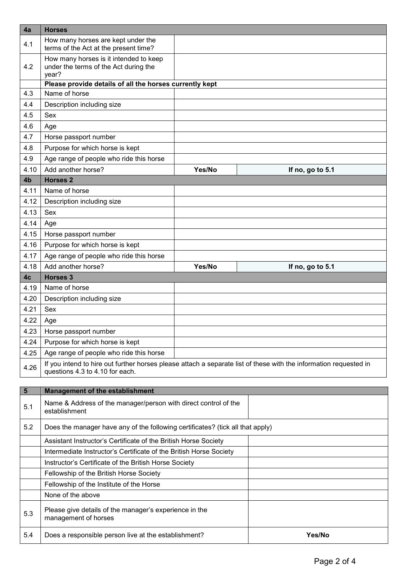| 4a             | <b>Horses</b>                                                                                                                                        |        |                  |
|----------------|------------------------------------------------------------------------------------------------------------------------------------------------------|--------|------------------|
| 4.1            | How many horses are kept under the<br>terms of the Act at the present time?                                                                          |        |                  |
| 4.2            | How many horses is it intended to keep<br>under the terms of the Act during the<br>year?                                                             |        |                  |
|                | Please provide details of all the horses currently kept                                                                                              |        |                  |
| 4.3            | Name of horse                                                                                                                                        |        |                  |
| 4.4            | Description including size                                                                                                                           |        |                  |
| 4.5            | Sex                                                                                                                                                  |        |                  |
| 4.6            | Age                                                                                                                                                  |        |                  |
| 4.7            | Horse passport number                                                                                                                                |        |                  |
| 4.8            | Purpose for which horse is kept                                                                                                                      |        |                  |
| 4.9            | Age range of people who ride this horse                                                                                                              |        |                  |
| 4.10           | Add another horse?                                                                                                                                   | Yes/No | If no, go to 5.1 |
| 4 <sub>b</sub> | <b>Horses 2</b>                                                                                                                                      |        |                  |
| 4.11           | Name of horse                                                                                                                                        |        |                  |
| 4.12           | Description including size                                                                                                                           |        |                  |
| 4.13           | Sex                                                                                                                                                  |        |                  |
| 4.14           | Age                                                                                                                                                  |        |                  |
| 4.15           | Horse passport number                                                                                                                                |        |                  |
| 4.16           | Purpose for which horse is kept                                                                                                                      |        |                  |
| 4.17           | Age range of people who ride this horse                                                                                                              |        |                  |
| 4.18           | Add another horse?                                                                                                                                   | Yes/No | If no, go to 5.1 |
| 4c             | <b>Horses 3</b>                                                                                                                                      |        |                  |
| 4.19           | Name of horse                                                                                                                                        |        |                  |
| 4.20           | Description including size                                                                                                                           |        |                  |
| 4.21           | Sex                                                                                                                                                  |        |                  |
| 4.22           | Age                                                                                                                                                  |        |                  |
| 4.23           | Horse passport number                                                                                                                                |        |                  |
| 4.24           | Purpose for which horse is kept                                                                                                                      |        |                  |
| 4.25           | Age range of people who ride this horse                                                                                                              |        |                  |
| 4.26           | If you intend to hire out further horses please attach a separate list of these with the information requested in<br>questions 4.3 to 4.10 for each. |        |                  |
|                |                                                                                                                                                      |        |                  |
| $5\phantom{1}$ | <b>Management of the establishment</b>                                                                                                               |        |                  |
| 5.1            | Name & Address of the manager/person with direct control of the<br>establishment                                                                     |        |                  |
| 5.2            | Does the manager have any of the following certificates? (tick all that apply)                                                                       |        |                  |
|                | Assistant Instructor's Certificate of the British Horse Society                                                                                      |        |                  |
|                | Intermediate Instructor's Certificate of the British Horse Society                                                                                   |        |                  |
|                | Instructor's Certificate of the British Horse Society                                                                                                |        |                  |
|                | Fellowship of the British Horse Society                                                                                                              |        |                  |
|                | Fellowship of the Institute of the Horse                                                                                                             |        |                  |
|                | None of the above                                                                                                                                    |        |                  |
| 5.3            | Please give details of the manager's experience in the<br>management of horses                                                                       |        |                  |
| 5.4            | Does a responsible person live at the establishment?                                                                                                 |        | Yes/No           |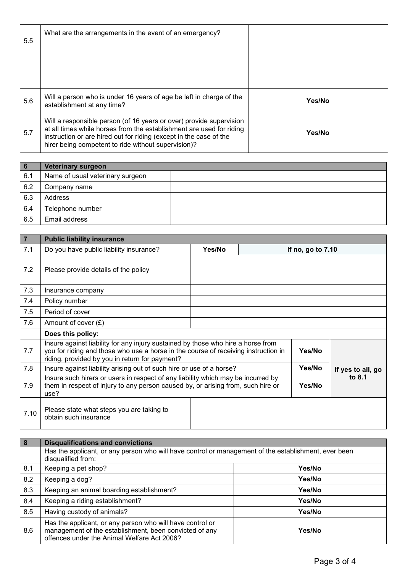| $5.5^{\circ}$ | What are the arrangements in the event of an emergency?                                                                                                                                                                                                                  |        |
|---------------|--------------------------------------------------------------------------------------------------------------------------------------------------------------------------------------------------------------------------------------------------------------------------|--------|
| 5.6           | Will a person who is under 16 years of age be left in charge of the<br>establishment at any time?                                                                                                                                                                        | Yes/No |
| 5.7           | Will a responsible person (of 16 years or over) provide supervision<br>at all times while horses from the establishment are used for riding<br>instruction or are hired out for riding (except in the case of the<br>hirer being competent to ride without supervision)? | Yes/No |

| 6   | <b>Veterinary surgeon</b>        |  |
|-----|----------------------------------|--|
| 6.1 | Name of usual veterinary surgeon |  |
| 6.2 | Company name                     |  |
| 6.3 | Address                          |  |
| 6.4 | Telephone number                 |  |
| 6.5 | Email address                    |  |

| $\boxed{7}$ | <b>Public liability insurance</b>                                                                                                                                                                                                  |        |  |                   |                   |
|-------------|------------------------------------------------------------------------------------------------------------------------------------------------------------------------------------------------------------------------------------|--------|--|-------------------|-------------------|
| 7.1         | Do you have public liability insurance?                                                                                                                                                                                            | Yes/No |  | If no, go to 7.10 |                   |
| 7.2         | Please provide details of the policy                                                                                                                                                                                               |        |  |                   |                   |
| 7.3         | Insurance company                                                                                                                                                                                                                  |        |  |                   |                   |
| 7.4         | Policy number                                                                                                                                                                                                                      |        |  |                   |                   |
| 7.5         | Period of cover                                                                                                                                                                                                                    |        |  |                   |                   |
| 7.6         | Amount of cover $(E)$                                                                                                                                                                                                              |        |  |                   |                   |
|             | Does this policy:                                                                                                                                                                                                                  |        |  |                   |                   |
| 7.7         | Insure against liability for any injury sustained by those who hire a horse from<br>you for riding and those who use a horse in the course of receiving instruction in<br>Yes/No<br>riding, provided by you in return for payment? |        |  |                   |                   |
| 7.8         | Insure against liability arising out of such hire or use of a horse?                                                                                                                                                               |        |  | Yes/No            | If yes to all, go |
| 7.9         | Insure such hirers or users in respect of any liability which may be incurred by<br>them in respect of injury to any person caused by, or arising from, such hire or<br>use?                                                       |        |  | Yes/No            | to 8.1            |
| 7.10        | Please state what steps you are taking to<br>obtain such insurance                                                                                                                                                                 |        |  |                   |                   |

| 8   | <b>Disqualifications and convictions</b>                                                                                                                           |        |
|-----|--------------------------------------------------------------------------------------------------------------------------------------------------------------------|--------|
|     | Has the applicant, or any person who will have control or management of the establishment, ever been<br>disqualified from:                                         |        |
| 8.1 | Keeping a pet shop?                                                                                                                                                | Yes/No |
| 8.2 | Keeping a dog?                                                                                                                                                     | Yes/No |
| 8.3 | Keeping an animal boarding establishment?                                                                                                                          | Yes/No |
| 8.4 | Keeping a riding establishment?                                                                                                                                    | Yes/No |
| 8.5 | Having custody of animals?                                                                                                                                         | Yes/No |
| 8.6 | Has the applicant, or any person who will have control or<br>management of the establishment, been convicted of any<br>offences under the Animal Welfare Act 2006? | Yes/No |